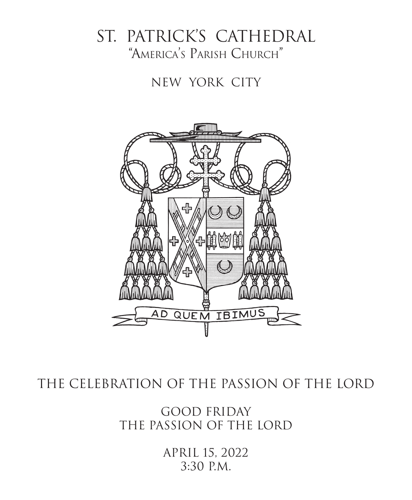# ST. PATRICK'S CATHEDRAL "America's Parish Church"

# New York City



# THE CELEBRATION OF THE PASSION OF THE LORD

GOOD FRIDAY THE PASSION OF THE LORD

> APRIL 15, 2022 3:30 P.M.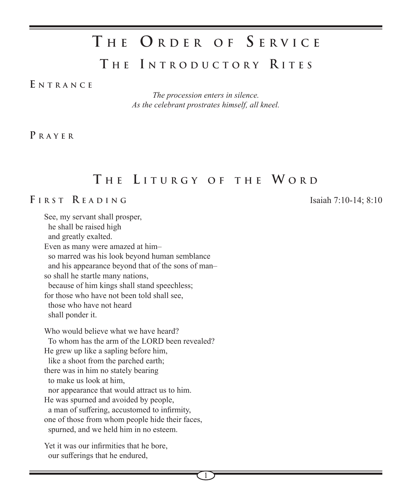# **T h e O r d e r o f S e r v i c e T h e I <sup>n</sup> <sup>t</sup> <sup>r</sup> <sup>o</sup> d u c to r y R <sup>i</sup> <sup>t</sup> <sup>e</sup> <sup>s</sup>**

#### **E <sup>n</sup> <sup>t</sup> r a n c e**

*The procession enters in silence. As the celebrant prostrates himself, all kneel.*

**P r a y e r**

## **T h e L <sup>i</sup> <sup>t</sup> u r g y <sup>o</sup> <sup>f</sup> <sup>t</sup> h e W <sup>o</sup> r d**

#### **F i r st R e a d i n g** Isaiah 7:10-14; 8:10

See, my servant shall prosper, he shall be raised high and greatly exalted. Even as many were amazed at him– so marred was his look beyond human semblance and his appearance beyond that of the sons of man– so shall he startle many nations, because of him kings shall stand speechless; for those who have not been told shall see, those who have not heard shall ponder it. Who would believe what we have heard? To whom has the arm of the LORD been revealed? He grew up like a sapling before him, like a shoot from the parched earth; there was in him no stately bearing to make us look at him, nor appearance that would attract us to him. He was spurned and avoided by people, a man of suffering, accustomed to infirmity, one of those from whom people hide their faces, spurned, and we held him in no esteem.

Yet it was our infirmities that he bore, our sufferings that he endured,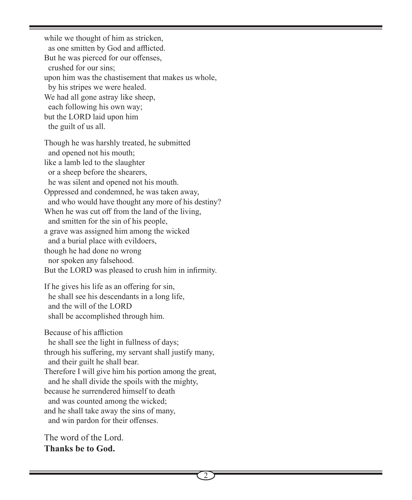while we thought of him as stricken, as one smitten by God and afflicted. But he was pierced for our offenses, crushed for our sins; upon him was the chastisement that makes us whole, by his stripes we were healed. We had all gone astray like sheep, each following his own way; but the LORD laid upon him the guilt of us all. Though he was harshly treated, he submitted and opened not his mouth; like a lamb led to the slaughter or a sheep before the shearers, he was silent and opened not his mouth. Oppressed and condemned, he was taken away, and who would have thought any more of his destiny? When he was cut off from the land of the living, and smitten for the sin of his people, a grave was assigned him among the wicked and a burial place with evildoers, though he had done no wrong nor spoken any falsehood. But the LORD was pleased to crush him in infirmity. If he gives his life as an offering for sin, he shall see his descendants in a long life, and the will of the LORD shall be accomplished through him. Because of his affliction he shall see the light in fullness of days; through his suffering, my servant shall justify many, and their guilt he shall bear. Therefore I will give him his portion among the great, and he shall divide the spoils with the mighty, because he surrendered himself to death and was counted among the wicked; and he shall take away the sins of many, and win pardon for their offenses.

The word of the Lord. **Thanks be to God.**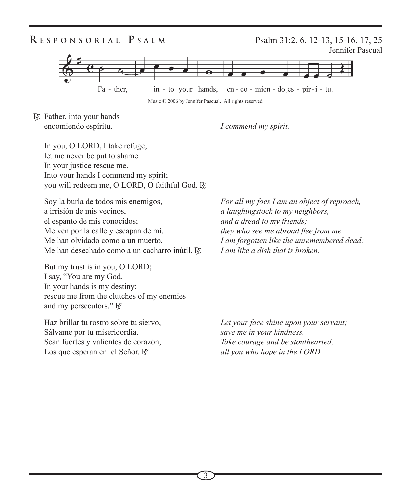

Music © 2006 by Jennifer Pascual. All rights reserved.

 $\mathbb R$ . Father, into your hands encomiendo espíritu.

*I commend my spirit.*

In you, O LORD, I take refuge; let me never be put to shame. In your justice rescue me. Into your hands I commend my spirit; you will redeem me, O LORD, O faithful God. R.

Soy la burla de todos mis enemigos, a irrisión de mis vecinos, el espanto de mis conocidos; Me ven por la calle y escapan de mí. Me han olvidado como a un muerto, Me han desechado como a un cacharro inútil. R.

But my trust is in you, O LORD; I say, "You are my God. In your hands is my destiny; rescue me from the clutches of my enemies and my persecutors."  $\mathbb{R}$ .

Haz brillar tu rostro sobre tu siervo, Sálvame por tu misericordia. Sean fuertes y valientes de corazón, Los que esperan en el Señor.  $\mathbb{R}^n$ .

*For all my foes I am an object of reproach, a laughingstock to my neighbors, and a dread to my friends; they who see me abroad flee from me. I am forgotten like the unremembered dead; I am like a dish that is broken.*

*Let your face shine upon your servant; save me in your kindness. Take courage and be stouthearted, all you who hope in the LORD.*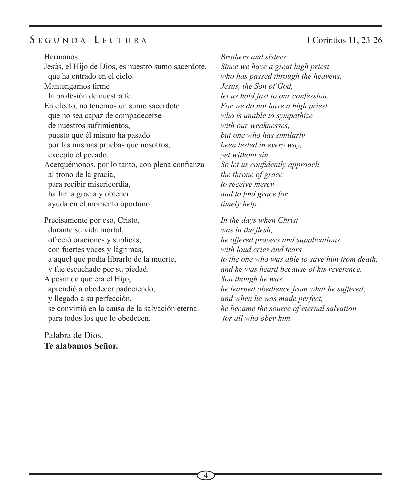#### **S e g u n d a L e c <sup>t</sup> u r a** I Corintios 11, 23-26

Hermanos: Jesús, el Hijo de Dios, es nuestro sumo sacerdote, que ha entrado en el cielo. Mantengamos firme la profesión de nuestra fe. En efecto, no tenemos un sumo sacerdote que no sea capaz de compadecerse de nuestros sufrimientos, puesto que él mismo ha pasado por las mismas pruebas que nosotros, excepto el pecado. Acerquémonos, por lo tanto, con plena confianza al trono de la gracia, para recibir misericordia, hallar la gracia y obtener ayuda en el momento oportuno. Precisamente por eso, Cristo,

 durante su vida mortal, ofreció oraciones y súplicas, con fuertes voces y lágrimas, a aquel que podía librarlo de la muerte, y fue escuchado por su piedad. A pesar de que era el Hijo, aprendió a obedecer padeciendo, y llegado a su perfección, se convirtió en la causa de la salvación eterna para todos los que lo obedecen.

Palabra de Dios. **Te alabamos Señor.**

*Brothers and sisters: Since we have a great high priest who has passed through the heavens, Jesus, the Son of God, let us hold fast to our confession. For we do not have a high priest who is unable to sympathize with our weaknesses, but one who has similarly been tested in every way, yet without sin. So let us confidently approach the throne of grace to receive mercy and to find grace for timely help.*

*In the days when Christ was in the flesh, he offered prayers and supplications with loud cries and tears to the one who was able to save him from death, and he was heard because of his reverence. Son though he was, he learned obedience from what he suffered; and when he was made perfect, he became the source of eternal salvation for all who obey him.*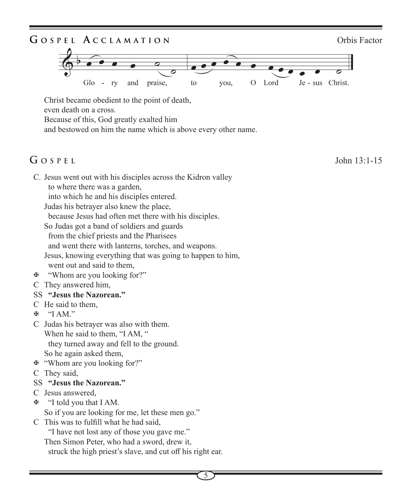**G osp <sup>e</sup> <sup>l</sup> A c c <sup>l</sup> a m a <sup>t</sup> <sup>i</sup> <sup>o</sup> <sup>n</sup>** Orbis Factor



Christ became obedient to the point of death, even death on a cross. Because of this, God greatly exalted him and bestowed on him the name which is above every other name.

### **G osp <sup>e</sup> <sup>l</sup>** John 13:1-15

 C. Jesus went out with his disciples across the Kidron valley to where there was a garden,

into which he and his disciples entered.

Judas his betrayer also knew the place,

because Jesus had often met there with his disciples.

So Judas got a band of soldiers and guards

from the chief priests and the Pharisees

and went there with lanterns, torches, and weapons.

Jesus, knowing everything that was going to happen to him,

went out and said to them,

- "Whom are you looking for?"
- C They answered him,

#### SS **"Jesus the Nazorean."**

C He said to them,

图 "I AM."

- C Judas his betrayer was also with them. When he said to them, "I AM, " they turned away and fell to the ground. So he again asked them,
- "Whom are you looking for?"
- C They said,

#### SS **"Jesus the Nazorean."**

- C Jesus answered,
- "I told you that I AM.

So if you are looking for me, let these men go."

C This was to fulfill what he had said,

"I have not lost any of those you gave me."

Then Simon Peter, who had a sword, drew it,

struck the high priest's slave, and cut off his right ear.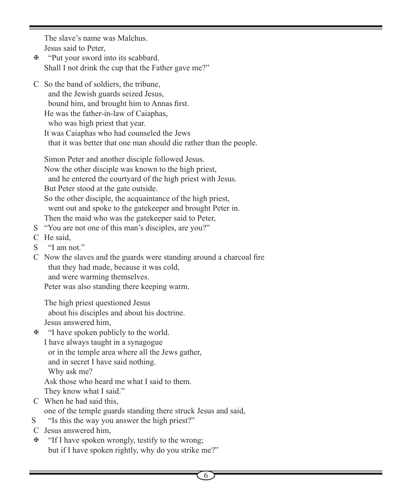The slave's name was Malchus. Jesus said to Peter,

- "Put your sword into its scabbard. Shall I not drink the cup that the Father gave me?"
- C So the band of soldiers, the tribune, and the Jewish guards seized Jesus, bound him, and brought him to Annas first. He was the father-in-law of Caiaphas, who was high priest that year. It was Caiaphas who had counseled the Jews
	- that it was better that one man should die rather than the people.

Simon Peter and another disciple followed Jesus. Now the other disciple was known to the high priest, and he entered the courtyard of the high priest with Jesus. But Peter stood at the gate outside. So the other disciple, the acquaintance of the high priest, went out and spoke to the gatekeeper and brought Peter in. Then the maid who was the gatekeeper said to Peter,

- S "You are not one of this man's disciples, are you?"
- C He said,
- S "I am not."
- C Now the slaves and the guards were standing around a charcoal fire that they had made, because it was cold, and were warming themselves.

Peter was also standing there keeping warm.

The high priest questioned Jesus about his disciples and about his doctrine. Jesus answered him,

- "I have spoken publicly to the world.
	- I have always taught in a synagogue

or in the temple area where all the Jews gather,

and in secret I have said nothing.

Why ask me?

Ask those who heard me what I said to them.

They know what I said."

- C When he had said this, one of the temple guards standing there struck Jesus and said,
- S "Is this the way you answer the high priest?"
- C Jesus answered him,
- $\mathcal{F}$  "If I have spoken wrongly, testify to the wrong; but if I have spoken rightly, why do you strike me?"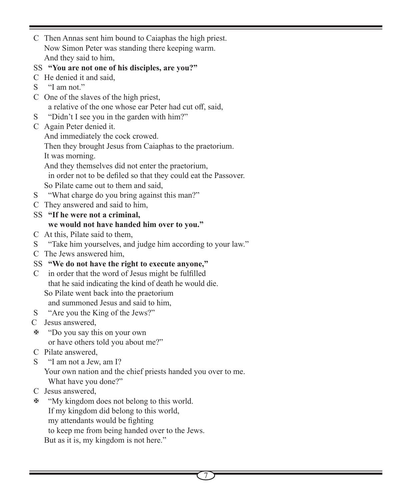- C Then Annas sent him bound to Caiaphas the high priest. Now Simon Peter was standing there keeping warm. And they said to him,
- SS **"You are not one of his disciples, are you?"**
- C He denied it and said,
- S "I am not."
- C One of the slaves of the high priest, a relative of the one whose ear Peter had cut off, said,
- S "Didn't I see you in the garden with him?"
- C Again Peter denied it.

And immediately the cock crowed.

Then they brought Jesus from Caiaphas to the praetorium.

It was morning.

And they themselves did not enter the praetorium,

- in order not to be defiled so that they could eat the Passover. So Pilate came out to them and said,
- S "What charge do you bring against this man?"
- C They answered and said to him,
- SS **"If he were not a criminal, we would not have handed him over to you."**
- C At this, Pilate said to them,
- S "Take him yourselves, and judge him according to your law."
- C The Jews answered him,

#### SS **"We do not have the right to execute anyone,"**

 C in order that the word of Jesus might be fulfilled that he said indicating the kind of death he would die. So Pilate went back into the praetorium

and summoned Jesus and said to him,

- S "Are you the King of the Jews?"
- C Jesus answered,
- "Do you say this on your own or have others told you about me?"
- C Pilate answered,
- S "I am not a Jew, am I? Your own nation and the chief priests handed you over to me. What have you done?"
- C Jesus answered,
- $\mathfrak{B}$  "My kingdom does not belong to this world. If my kingdom did belong to this world, my attendants would be fighting to keep me from being handed over to the Jews. But as it is, my kingdom is not here."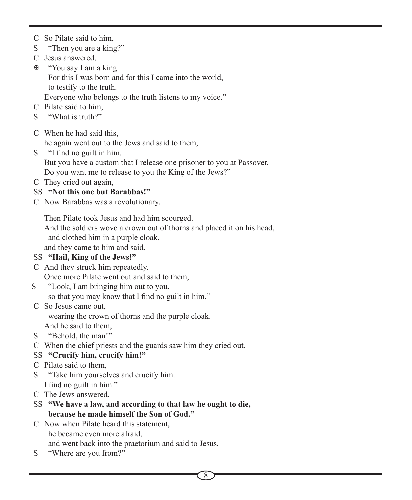- C So Pilate said to him,
- S "Then you are a king?"
- C Jesus answered,
- "You say I am a king. For this I was born and for this I came into the world, to testify to the truth. Everyone who belongs to the truth listens to my voice."
- C Pilate said to him,
- S "What is truth?"
- C When he had said this,

he again went out to the Jews and said to them,

- S "I find no guilt in him. But you have a custom that I release one prisoner to you at Passover. Do you want me to release to you the King of the Jews?"
- C They cried out again,

#### SS **"Not this one but Barabbas!"**

C Now Barabbas was a revolutionary.

Then Pilate took Jesus and had him scourged.

And the soldiers wove a crown out of thorns and placed it on his head, and clothed him in a purple cloak,

and they came to him and said,

#### SS **"Hail, King of the Jews!"**

- C And they struck him repeatedly. Once more Pilate went out and said to them,
- S "Look, I am bringing him out to you, so that you may know that I find no guilt in him."
- C So Jesus came out, wearing the crown of thorns and the purple cloak. And he said to them,
- S "Behold, the man!"
- C When the chief priests and the guards saw him they cried out,

#### SS **"Crucify him, crucify him!"**

- C Pilate said to them,
- S "Take him yourselves and crucify him. I find no guilt in him."
- C The Jews answered,
- SS **"We have a law, and according to that law he ought to die, because he made himself the Son of God."**
- C Now when Pilate heard this statement, he became even more afraid, and went back into the praetorium and said to Jesus,
- S "Where are you from?"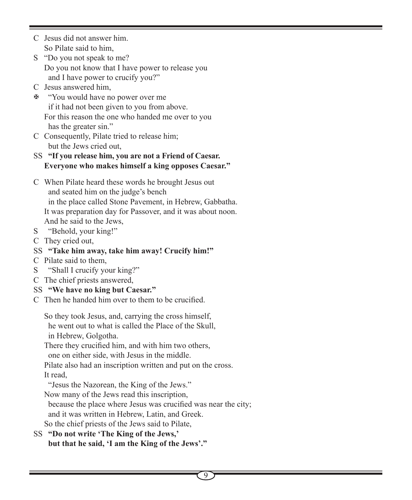- C Jesus did not answer him. So Pilate said to him,
- S "Do you not speak to me? Do you not know that I have power to release you and I have power to crucify you?"
- C Jesus answered him,
- "You would have no power over me if it had not been given to you from above. For this reason the one who handed me over to you has the greater sin."
- C Consequently, Pilate tried to release him; but the Jews cried out,
- SS **"If you release him, you are not a Friend of Caesar. Everyone who makes himself a king opposes Caesar."**
- C When Pilate heard these words he brought Jesus out and seated him on the judge's bench in the place called Stone Pavement, in Hebrew, Gabbatha. It was preparation day for Passover, and it was about noon. And he said to the Jews,
- S "Behold, your king!"
- C They cried out,
- SS **"Take him away, take him away! Crucify him!"**
- C Pilate said to them,
- S "Shall I crucify your king?"
- C The chief priests answered,
- SS **"We have no king but Caesar."**
- C Then he handed him over to them to be crucified.

So they took Jesus, and, carrying the cross himself, he went out to what is called the Place of the Skull, in Hebrew, Golgotha.

There they crucified him, and with him two others,

one on either side, with Jesus in the middle.

Pilate also had an inscription written and put on the cross.

It read,

"Jesus the Nazorean, the King of the Jews."

Now many of the Jews read this inscription,

because the place where Jesus was crucified was near the city;

and it was written in Hebrew, Latin, and Greek.

So the chief priests of the Jews said to Pilate,

 SS **"Do not write 'The King of the Jews,' but that he said, 'I am the King of the Jews'."**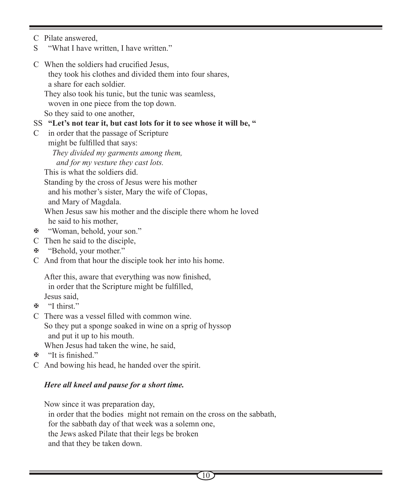- C Pilate answered,
- S "What I have written, I have written."
- C When the soldiers had crucified Jesus,

 they took his clothes and divided them into four shares, a share for each soldier.

They also took his tunic, but the tunic was seamless,

woven in one piece from the top down.

So they said to one another,

#### SS **"Let's not tear it, but cast lots for it to see whose it will be, "**

C in order that the passage of Scripture

 might be fulfilled that says: *They divided my garments among them, and for my vesture they cast lots.* This is what the soldiers did. Standing by the cross of Jesus were his mother and his mother's sister, Mary the wife of Clopas, and Mary of Magdala.

When Jesus saw his mother and the disciple there whom he loved he said to his mother,

- "Woman, behold, your son."
- C Then he said to the disciple,
- "Behold, your mother."
- C And from that hour the disciple took her into his home.

After this, aware that everything was now finished, in order that the Scripture might be fulfilled, Jesus said,

- **E** "I thirst."
- C There was a vessel filled with common wine. So they put a sponge soaked in wine on a sprig of hyssop and put it up to his mouth.

When Jesus had taken the wine, he said,

- "It is finished."
- C And bowing his head, he handed over the spirit.

#### *Here all kneel and pause for a short time.*

Now since it was preparation day,

in order that the bodies might not remain on the cross on the sabbath,

for the sabbath day of that week was a solemn one,

the Jews asked Pilate that their legs be broken

and that they be taken down.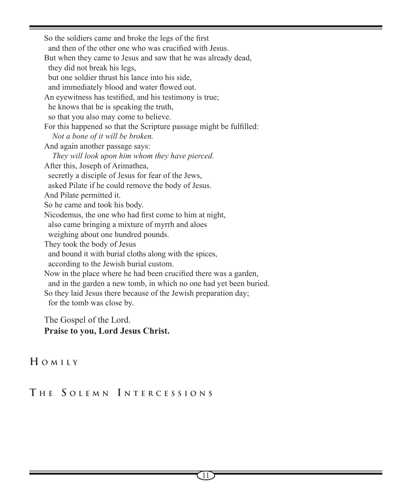So the soldiers came and broke the legs of the first and then of the other one who was crucified with Jesus. But when they came to Jesus and saw that he was already dead, they did not break his legs, but one soldier thrust his lance into his side, and immediately blood and water flowed out. An eyewitness has testified, and his testimony is true; he knows that he is speaking the truth, so that you also may come to believe. For this happened so that the Scripture passage might be fulfilled: *Not a bone of it will be broken.* And again another passage says: *They will look upon him whom they have pierced.* After this, Joseph of Arimathea, secretly a disciple of Jesus for fear of the Jews, asked Pilate if he could remove the body of Jesus. And Pilate permitted it. So he came and took his body. Nicodemus, the one who had first come to him at night, also came bringing a mixture of myrrh and aloes weighing about one hundred pounds. They took the body of Jesus and bound it with burial cloths along with the spices, according to the Jewish burial custom. Now in the place where he had been crucified there was a garden, and in the garden a new tomb, in which no one had yet been buried. So they laid Jesus there because of the Jewish preparation day; for the tomb was close by.

The Gospel of the Lord. **Praise to you, Lord Jesus Christ.**

### **H <sup>o</sup> m i <sup>l</sup> <sup>y</sup>**

#### **T h e S ol e m n I <sup>n</sup> <sup>t</sup> e r c e ss <sup>i</sup> <sup>o</sup> <sup>n</sup> <sup>s</sup>**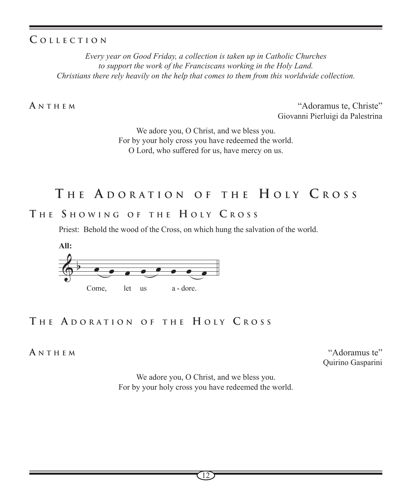#### **C oll e c <sup>t</sup> <sup>i</sup> <sup>o</sup> <sup>n</sup>**

*Every year on Good Friday, a collection is taken up in Catholic Churches to support the work of the Franciscans working in the Holy Land. Christians there rely heavily on the help that comes to them from this worldwide collection.*

**A n h h**  $\infty$  **h h**  $\infty$  **h**  $\infty$  **h**  $\infty$  **h**  $\infty$  **h**  $\infty$  **h**  $\infty$  **h**  $\infty$  **h**  $\infty$  **h**  $\infty$  **h**  $\infty$  **h**  $\infty$  **h**  $\infty$  **h**  $\infty$  **h**  $\infty$  **h**  $\infty$  **h**  $\infty$  **h**  $\infty$  **h**  $\infty$  **h**  $\infty$  **h**  $\$ Giovanni Pierluigi da Palestrina

> We adore you, O Christ, and we bless you. For by your holy cross you have redeemed the world. O Lord, who suffered for us, have mercy on us.

# **T h e A <sup>d</sup> <sup>o</sup> r a <sup>t</sup> <sup>i</sup> <sup>o</sup> <sup>n</sup> <sup>o</sup> <sup>f</sup> <sup>t</sup> h e H ol <sup>y</sup> C <sup>r</sup> oss**

#### **T h e S <sup>h</sup> ow i n g <sup>o</sup> <sup>f</sup> <sup>t</sup> h e H ol <sup>y</sup> C <sup>r</sup> oss**

Priest: Behold the wood of the Cross, on which hung the salvation of the world.



### **T h e A <sup>d</sup> <sup>o</sup> r a <sup>t</sup> <sup>i</sup> <sup>o</sup> <sup>n</sup> <sup>o</sup> <sup>f</sup> <sup>t</sup> h e H ol <sup>y</sup> C <sup>r</sup> oss**

**A n t h h**  $\infty$  **h**  $\infty$  **h**  $\infty$  **h**  $\infty$  **h**  $\infty$  **h**  $\infty$  **h**  $\infty$  **h**  $\infty$  **h**  $\infty$  **h**  $\infty$  **h**  $\infty$  **h**  $\infty$  **h**  $\infty$  **h**  $\infty$  **h**  $\infty$  **h**  $\infty$  **h**  $\infty$  **h**  $\infty$  **h**  $\infty$  **h**  $\infty$  **h**  $\$ Quirino Gasparini

> We adore you, O Christ, and we bless you. For by your holy cross you have redeemed the world.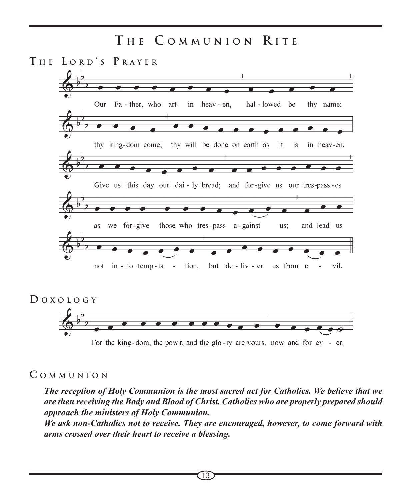#### **T h e C <sup>o</sup> m m u n i <sup>o</sup> <sup>n</sup> R <sup>i</sup> <sup>t</sup> <sup>e</sup> T h e L <sup>o</sup> r d ' s P r a y e r**  $\overline{\bullet}$ Our Fa - ther, who art in heav - en, hal-lowed be thy name;  $\overline{\phantom{a}}$ thy king-dom come; thy will be done on earth as it.  $is$ in heav-en.  $\overline{\phantom{a}}$ Give us this day our dai-ly bread; and for-give us our tres-pass-es we for-give as those who tres-pass a-gainst us: and lead us tion, but de - liv - er us from e vil. not in - to temp-ta - $\sim$ **D <sup>o</sup> <sup>x</sup> olo g y**  $\bullet$



#### **C <sup>o</sup> m m u n i <sup>o</sup> <sup>n</sup>**

*The reception of Holy Communion is the most sacred act for Catholics. We believe that we are then receiving the Body and Blood of Christ. Catholics who are properly prepared should approach the ministers of Holy Communion.*

*We ask non-Catholics not to receive. They are encouraged, however, to come forward with arms crossed over their heart to receive a blessing.*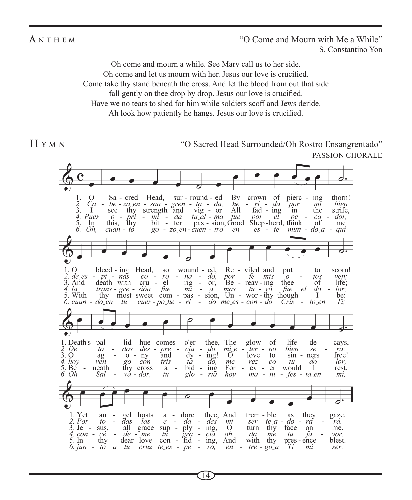**A <sup>n</sup> <sup>t</sup> h e m** "O Come and Mourn with Me a While" S. Constantino Yon

> Oh come and mourn a while. See Mary call us to her side. Oh come and let us mourn with her. Jesus our love is crucified. Come take thy stand beneath the cross. And let the blood from out that side fall gently on thee drop by drop. Jesus our love is crucified. Have we no tears to shed for him while soldiers scoff and Jews deride. Ah look how patiently he hangs. Jesus our love is crucified.

**H y m n** "O Sacred Head Surrounded/Oh Rostro Ensangrentado"



14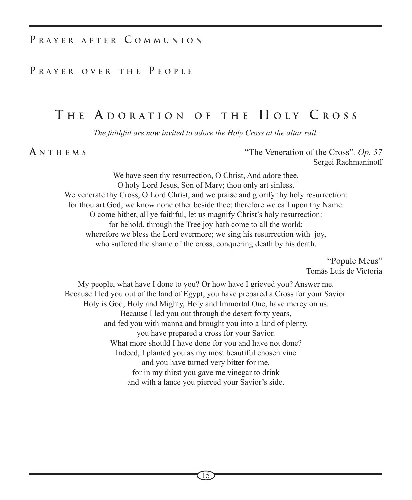#### **P r a y e r a f <sup>t</sup> e r C <sup>o</sup> m m u n i <sup>o</sup> <sup>n</sup>**

#### **P r a y e r <sup>o</sup> v e r <sup>t</sup> h e P <sup>e</sup> opl <sup>e</sup>**

## **T h e A <sup>d</sup> <sup>o</sup> r a <sup>t</sup> <sup>i</sup> <sup>o</sup> <sup>n</sup> <sup>o</sup> <sup>f</sup> <sup>t</sup> h e H ol <sup>y</sup> C <sup>r</sup> oss**

*The faithful are now invited to adore the Holy Cross at the altar rail.*

**A n f h e** m **s**  $\bullet$  **f h s**  $\bullet$  **f h h e h s**  $\bullet$  **f h s**  $\bullet$  **f h s**  $\bullet$  **f s**  $\bullet$  **f s**  $\bullet$  **f**  $\bullet$  **f**  $\bullet$  **f**  $\bullet$  *s*  $\bullet$  *s*  $\bullet$  *s*  $\bullet$  *s*  $\bullet$  *s*  $\bullet$  *s* Sergei Rachmaninoff

> We have seen thy resurrection, O Christ, And adore thee, O holy Lord Jesus, Son of Mary; thou only art sinless. We venerate thy Cross, O Lord Christ, and we praise and glorify thy holy resurrection: for thou art God; we know none other beside thee; therefore we call upon thy Name. O come hither, all ye faithful, let us magnify Christ's holy resurrection: for behold, through the Tree joy hath come to all the world; wherefore we bless the Lord evermore; we sing his resurrection with joy, who suffered the shame of the cross, conquering death by his death.

> > "Popule Meus" Tomás Luis de Victoria

My people, what have I done to you? Or how have I grieved you? Answer me. Because I led you out of the land of Egypt, you have prepared a Cross for your Savior. Holy is God, Holy and Mighty, Holy and Immortal One, have mercy on us. Because I led you out through the desert forty years, and fed you with manna and brought you into a land of plenty, you have prepared a cross for your Savior. What more should I have done for you and have not done? Indeed, I planted you as my most beautiful chosen vine and you have turned very bitter for me, for in my thirst you gave me vinegar to drink and with a lance you pierced your Savior's side.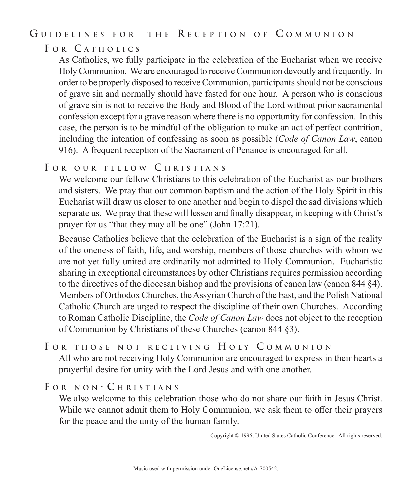#### **G u i d e <sup>l</sup> i n e <sup>s</sup> <sup>f</sup> <sup>o</sup> r t h e R e c e pt <sup>i</sup> <sup>o</sup> <sup>n</sup> <sup>o</sup> <sup>f</sup> C <sup>o</sup> m m u n i <sup>o</sup> <sup>n</sup>**

#### **F <sup>o</sup> <sup>r</sup> C <sup>a</sup> <sup>t</sup> <sup>h</sup> ol i c <sup>s</sup>**

As Catholics, we fully participate in the celebration of the Eucharist when we receive Holy Communion. We are encouraged to receive Communion devoutly and frequently. In order to be properly disposed to receive Communion, participants should not be conscious of grave sin and normally should have fasted for one hour. A person who is conscious of grave sin is not to receive the Body and Blood of the Lord without prior sacramental confession except for a grave reason where there is no opportunity for confession. In this case, the person is to be mindful of the obligation to make an act of perfect contrition, including the intention of confessing as soon as possible (*Code of Canon Law*, canon 916). A frequent reception of the Sacrament of Penance is encouraged for all.

### **F o r o u r f e llow C h r i st i a n s**

We welcome our fellow Christians to this celebration of the Eucharist as our brothers and sisters. We pray that our common baptism and the action of the Holy Spirit in this Eucharist will draw us closer to one another and begin to dispel the sad divisions which separate us. We pray that these will lessen and finally disappear, in keeping with Christ's prayer for us "that they may all be one" (John 17:21).

Because Catholics believe that the celebration of the Eucharist is a sign of the reality of the oneness of faith, life, and worship, members of those churches with whom we are not yet fully united are ordinarily not admitted to Holy Communion. Eucharistic sharing in exceptional circumstances by other Christians requires permission according to the directives of the diocesan bishop and the provisions of canon law (canon 844 §4). Members of Orthodox Churches, the Assyrian Church of the East, and the Polish National Catholic Church are urged to respect the discipline of their own Churches. According to Roman Catholic Discipline, the *Code of Canon Law* does not object to the reception of Communion by Christians of these Churches (canon 844 §3).

#### **F o r t h os e n ot r e c e i v i n g H ol y C o m m u n i o n**

All who are not receiving Holy Communion are encouraged to express in their hearts a prayerful desire for unity with the Lord Jesus and with one another.

#### $F$  **o**  $R$  **n o**  $N$  **-**  $C$  **H**  $R$ **I**  $S$  **T**  $I$   $A$   $N$   $S$

We also welcome to this celebration those who do not share our faith in Jesus Christ. While we cannot admit them to Holy Communion, we ask them to offer their prayers for the peace and the unity of the human family.

Copyright © 1996, United States Catholic Conference. All rights reserved.